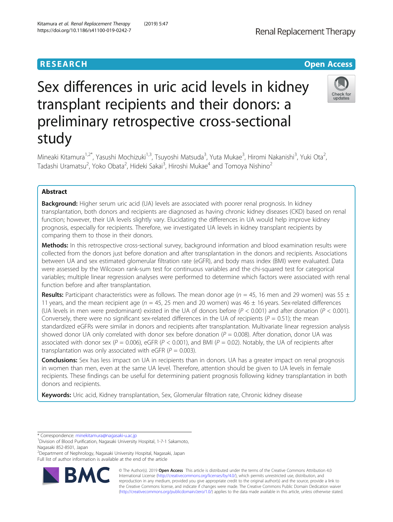## **RESEARCH CHE Open Access**

Renal Replacement Therapy

# Sex differences in uric acid levels in kidney transplant recipients and their donors: a preliminary retrospective cross-sectional study



Mineaki Kitamura<sup>1,2\*</sup>, Yasushi Mochizuki<sup>1,3</sup>, Tsuyoshi Matsuda<sup>3</sup>, Yuta Mukae<sup>3</sup>, Hiromi Nakanishi<sup>3</sup>, Yuki Ota<sup>2</sup> .<br>, Tadashi Uramatsu<sup>2</sup>, Yoko Obata<sup>2</sup>, Hideki Sakai<sup>3</sup>, Hiroshi Mukae<sup>4</sup> and Tomoya Nishino<sup>2</sup>

## Abstract

**Background:** Higher serum uric acid (UA) levels are associated with poorer renal prognosis. In kidney transplantation, both donors and recipients are diagnosed as having chronic kidney diseases (CKD) based on renal function; however, their UA levels slightly vary. Elucidating the differences in UA would help improve kidney prognosis, especially for recipients. Therefore, we investigated UA levels in kidney transplant recipients by comparing them to those in their donors.

Methods: In this retrospective cross-sectional survey, background information and blood examination results were collected from the donors just before donation and after transplantation in the donors and recipients. Associations between UA and sex estimated glomerular filtration rate (eGFR), and body mass index (BMI) were evaluated. Data were assessed by the Wilcoxon rank-sum test for continuous variables and the chi-squared test for categorical variables; multiple linear regression analyses were performed to determine which factors were associated with renal function before and after transplantation.

**Results:** Participant characteristics were as follows. The mean donor age ( $n = 45$ , 16 men and 29 women) was 55  $\pm$ 11 years, and the mean recipient age ( $n = 45$ , 25 men and 20 women) was 46  $\pm$  16 years. Sex-related differences (UA levels in men were predominant) existed in the UA of donors before ( $P < 0.001$ ) and after donation ( $P < 0.001$ ). Conversely, there were no significant sex-related differences in the UA of recipients ( $P = 0.51$ ); the mean standardized eGFRs were similar in donors and recipients after transplantation. Multivariate linear regression analysis showed donor UA only correlated with donor sex before donation ( $P = 0.008$ ). After donation, donor UA was associated with donor sex (P = 0.006), eGFR (P < 0.001), and BMI (P = 0.02). Notably, the UA of recipients after transplantation was only associated with eGFR ( $P = 0.003$ ).

**Conclusions:** Sex has less impact on UA in recipients than in donors. UA has a greater impact on renal prognosis in women than men, even at the same UA level. Therefore, attention should be given to UA levels in female recipients. These findings can be useful for determining patient prognosis following kidney transplantation in both donors and recipients.

Keywords: Uric acid, Kidney transplantation, Sex, Glomerular filtration rate, Chronic kidney disease

\* Correspondence: [minekitamura@nagasaki-u.ac.jp](mailto:minekitamura@nagasaki-u.ac.jp) <sup>1</sup>

2 Department of Nephrology, Nagasaki University Hospital, Nagasaki, Japan Full list of author information is available at the end of the article



© The Author(s). 2019 Open Access This article is distributed under the terms of the Creative Commons Attribution 4.0 International License [\(http://creativecommons.org/licenses/by/4.0/](http://creativecommons.org/licenses/by/4.0/)), which permits unrestricted use, distribution, and reproduction in any medium, provided you give appropriate credit to the original author(s) and the source, provide a link to the Creative Commons license, and indicate if changes were made. The Creative Commons Public Domain Dedication waiver [\(http://creativecommons.org/publicdomain/zero/1.0/](http://creativecommons.org/publicdomain/zero/1.0/)) applies to the data made available in this article, unless otherwise stated.

<sup>&</sup>lt;sup>1</sup> Division of Blood Purification, Nagasaki University Hospital, 1-7-1 Sakamoto, Nagasaki 852-8501, Japan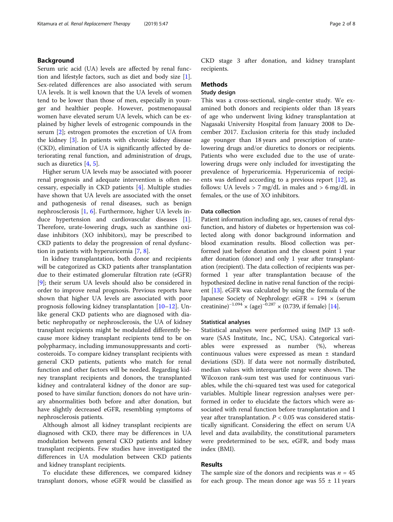#### Background

Serum uric acid (UA) levels are affected by renal function and lifestyle factors, such as diet and body size [\[1](#page-6-0)]. Sex-related differences are also associated with serum UA levels. It is well known that the UA levels of women tend to be lower than those of men, especially in younger and healthier people. However, postmenopausal women have elevated serum UA levels, which can be explained by higher levels of estrogenic compounds in the serum [[2\]](#page-6-0); estrogen promotes the excretion of UA from the kidney [[3](#page-6-0)]. In patients with chronic kidney disease (CKD), elimination of UA is significantly affected by deteriorating renal function, and administration of drugs, such as diuretics [[4,](#page-6-0) [5\]](#page-6-0).

Higher serum UA levels may be associated with poorer renal prognosis and adequate intervention is often necessary, especially in CKD patients [\[4](#page-6-0)]. Multiple studies have shown that UA levels are associated with the onset and pathogenesis of renal diseases, such as benign nephrosclerosis [\[1](#page-6-0), [6](#page-6-0)]. Furthermore, higher UA levels induce hypertension and cardiovascular diseases [\[1](#page-6-0)]. Therefore, urate-lowering drugs, such as xanthine oxidase inhibitors (XO inhibitors), may be prescribed to CKD patients to delay the progression of renal dysfunction in patients with hyperuricemia [\[7](#page-6-0), [8](#page-6-0)].

In kidney transplantation, both donor and recipients will be categorized as CKD patients after transplantation due to their estimated glomerular filtration rate (eGFR) [[9\]](#page-6-0); their serum UA levels should also be considered in order to improve renal prognosis. Previous reports have shown that higher UA levels are associated with poor prognosis following kidney transplantation [[10](#page-6-0)–[12](#page-6-0)]. Unlike general CKD patients who are diagnosed with diabetic nephropathy or nephrosclerosis, the UA of kidney transplant recipients might be modulated differently because more kidney transplant recipients tend to be on polypharmacy, including immunosuppressants and corticosteroids. To compare kidney transplant recipients with general CKD patients, patients who match for renal function and other factors will be needed. Regarding kidney transplant recipients and donors, the transplanted kidney and contralateral kidney of the donor are supposed to have similar function; donors do not have urinary abnormalities both before and after donation, but have slightly decreased eGFR, resembling symptoms of nephrosclerosis patients.

Although almost all kidney transplant recipients are diagnosed with CKD, there may be differences in UA modulation between general CKD patients and kidney transplant recipients. Few studies have investigated the differences in UA modulation between CKD patients and kidney transplant recipients.

To elucidate these differences, we compared kidney transplant donors, whose eGFR would be classified as CKD stage 3 after donation, and kidney transplant recipients.

#### Methods

### Study design

This was a cross-sectional, single-center study. We examined both donors and recipients older than 18 years of age who underwent living kidney transplantation at Nagasaki University Hospital from January 2008 to December 2017. Exclusion criteria for this study included age younger than 18 years and prescription of uratelowering drugs and/or diuretics to donors or recipients. Patients who were excluded due to the use of uratelowering drugs were only included for investigating the prevalence of hyperuricemia. Hyperuricemia of recipients was defined according to a previous report [[12](#page-6-0)], as follows: UA levels  $> 7$  mg/dL in males and  $> 6$  mg/dL in females, or the use of XO inhibitors.

#### Data collection

Patient information including age, sex, causes of renal dysfunction, and history of diabetes or hypertension was collected along with donor background information and blood examination results. Blood collection was performed just before donation and the closest point 1 year after donation (donor) and only 1 year after transplantation (recipient). The data collection of recipients was performed 1 year after transplantation because of the hypothesized decline in native renal function of the recipient [[13](#page-6-0)]. eGFR was calculated by using the formula of the Japanese Society of Nephrology: eGFR =  $194 \times$  (serum creatinine)<sup>-1.094</sup> × (age)<sup>-0.287</sup> × (0.739, if female) [[14](#page-6-0)].

#### Statistical analyses

Statistical analyses were performed using JMP 13 software (SAS Institute, Inc., NC, USA). Categorical variables were expressed as number (%), whereas continuous values were expressed as mean ± standard deviations (SD). If data were not normally distributed, median values with interquartile range were shown. The Wilcoxon rank-sum test was used for continuous variables, while the chi-squared test was used for categorical variables. Multiple linear regression analyses were performed in order to elucidate the factors which were associated with renal function before transplantation and 1 year after transplantation.  $P < 0.05$  was considered statistically significant. Considering the effect on serum UA level and data availability, the constitutional parameters were predetermined to be sex, eGFR, and body mass index (BMI).

#### Results

The sample size of the donors and recipients was  $n = 45$ for each group. The mean donor age was  $55 \pm 11$  years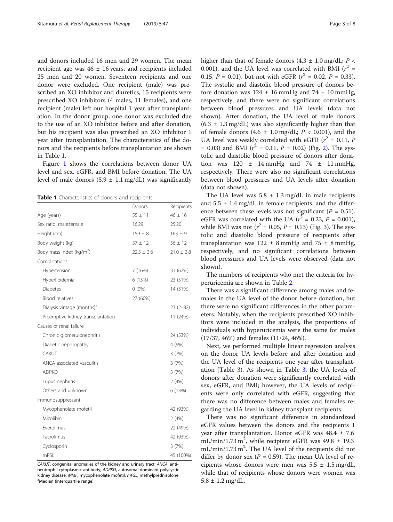and donors included 16 men and 29 women. The mean recipient age was  $46 \pm 16$  years, and recipients included 25 men and 20 women. Seventeen recipients and one donor were excluded. One recipient (male) was prescribed an XO inhibitor and diuretics, 15 recipients were prescribed XO inhibitors (4 males, 11 females), and one recipient (male) left our hospital 1 year after transplantation. In the donor group, one donor was excluded due to the use of an XO inhibitor before and after donation, but his recipient was also prescribed an XO inhibitor 1 year after transplantation. The characteristics of the donors and the recipients before transplantation are shown in Table 1.

Figure [1](#page-3-0) shows the correlations between donor UA level and sex, eGFR, and BMI before donation. The UA level of male donors  $(5.9 \pm 1.1 \text{ mg/dL})$  was significantly

Table 1 Characteristics of donors and recipients

|                                        | Donors         | Recipients     |
|----------------------------------------|----------------|----------------|
| Age (years)                            | $55 \pm 11$    | $46 \pm 16$    |
| Sex ratio; male:female                 | 16:29          | 25:20          |
| Height (cm)                            | $159 \pm 8$    | $163 \pm 9$    |
| Body weight (kg)                       | $57 \pm 12$    | $56 \pm 12$    |
| Body mass index ( $kg/m2$ )            | $22.5 \pm 3.6$ | $21.0 \pm 3.8$ |
| Complications                          |                |                |
| Hypertension                           | 7(16%)         | 31 (67%)       |
| Hyperlipidemia                         | 6 (13%)        | 23 (51%)       |
| <b>Diabetes</b>                        | $0(0\%)$       | 14 (31%)       |
| <b>Blood relatives</b>                 | 27 (60%)       |                |
| Dialysis vintage (months) <sup>a</sup> |                | $23(2-82)$     |
| Preemptive kidney transplantation      |                | 11 (24%)       |
| Causes of renal failure                |                |                |
| Chronic glomerulonephritis             |                | 24 (53%)       |
| Diabetic nephropathy                   |                | 4 (9%)         |
| CAKUT                                  |                | 3(7%)          |
| ANCA associated vasculitis             |                | 3(7%)          |
| <b>ADPKD</b>                           |                | 3(7%)          |
| Lupus nephritis                        |                | 2(4%)          |
| Others and unknown                     |                | 6 (13%)        |
| Immunosuppressant                      |                |                |
| Mycophenolate mofetil                  |                | 42 (93%)       |
| Mizolibin                              |                | 2(4%)          |
| Everolimus                             |                | 22 (49%)       |
| Tacrolimus                             |                | 42 (93%)       |
| Cyclosporin                            |                | 3(7%)          |
| mPSI                                   |                | 45 (100%)      |

CAKUT, congenital anomalies of the kidney and urinary tract; ANCA, antineutrophil cytoplasmic antibody; ADPKD, autosomal dominant polycystic kidney disease; MMF, mycophenolate mofetil; mPSL, methylprednisolone Median (interquartile range)

higher than that of female donors  $(4.3 \pm 1.0 \text{ mg/dL}; P \leq$ 0.001), and the UA level was correlated with BMI ( $r^2$  = 0.15,  $P = 0.01$ ), but not with eGFR ( $r^2 = 0.02$ ,  $P = 0.33$ ). The systolic and diastolic blood pressure of donors before donation was  $124 \pm 16$  mmHg and  $74 \pm 10$  mmHg, respectively, and there were no significant correlations between blood pressures and UA levels (data not shown). After donation, the UA level of male donors  $(6.3 \pm 1.3 \text{ mg/dL})$  was also significantly higher than that of female donors  $(4.6 \pm 1.0 \text{ mg/dL}; P < 0.001)$ , and the UA level was weakly correlated with eGFR ( $r^2 = 0.11$ ,  $P$  $= 0.03$ ) and BMI ( $r^2 = 0.11$ ,  $P = 0.02$ ) (Fig. [2\)](#page-3-0). The systolic and diastolic blood pressure of donors after donation was  $120 \pm 14$  mmHg and  $74 \pm 11$  mmHg, respectively. There were also no significant correlations between blood pressures and UA levels after donation (data not shown).

The UA level was  $5.8 \pm 1.3$  mg/dL in male recipients and  $5.5 \pm 1.4$  mg/dL in female recipients, and the difference between these levels was not significant ( $P = 0.51$ ). eGFR was correlated with the UA ( $r^2$  = 0.23, P = 0.001), while BMI was not ( $r^2 = 0.05$ ,  $P = 0.13$  $P = 0.13$ ) (Fig. 3). The systolic and diastolic blood pressure of recipients after transplantation was  $122 \pm 8$  mmHg and  $75 \pm 8$  mmHg, respectively, and no significant correlations between blood pressures and UA levels were observed (data not shown).

The numbers of recipients who met the criteria for hyperuricemia are shown in Table [2](#page-4-0).

There was a significant difference among males and females in the UA level of the donor before donation, but there were no significant differences in the other parameters. Notably, when the recipients prescribed XO inhibitors were included in the analysis, the proportions of individuals with hyperuricemia were the same for males (17/37, 46%) and females (11/24, 46%).

Next, we performed multiple linear regression analysis on the donor UA levels before and after donation and the UA level of the recipients one year after transplantation (Table [3\)](#page-5-0). As shown in Table [3](#page-5-0), the UA levels of donors after donation were significantly correlated with sex, eGFR, and BMI; however, the UA levels of recipients were only correlated with eGFR, suggesting that there was no difference between males and females regarding the UA level in kidney transplant recipients.

There was no significant difference in standardized eGFR values between the donors and the recipients 1 year after transplantation. Donor eGFR was  $48.4 \pm 7.6$ mL/min/1.73 m<sup>2</sup>, while recipient eGFR was  $49.8 \pm 19.3$ mL/min/1.73 m<sup>2</sup>. The UA level of the recipients did not differ by donor sex ( $P = 0.59$ ). The mean UA level of recipients whose donors were men was  $5.5 \pm 1.5$  mg/dL, while that of recipients whose donors were women was  $5.8 \pm 1.2$  mg/dL.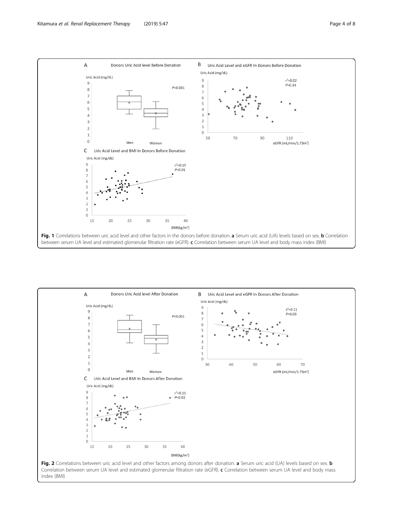<span id="page-3-0"></span>

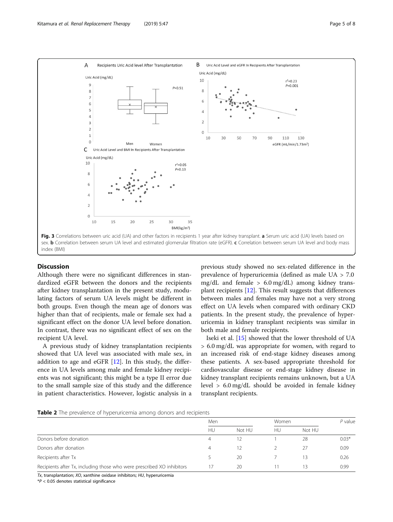<span id="page-4-0"></span>

#### **Discussion**

Although there were no significant differences in standardized eGFR between the donors and the recipients after kidney transplantation in the present study, modulating factors of serum UA levels might be different in both groups. Even though the mean age of donors was higher than that of recipients, male or female sex had a significant effect on the donor UA level before donation. In contrast, there was no significant effect of sex on the recipient UA level.

A previous study of kidney transplantation recipients showed that UA level was associated with male sex, in addition to age and eGFR  $[12]$  $[12]$ . In this study, the difference in UA levels among male and female kidney recipients was not significant; this might be a type II error due to the small sample size of this study and the difference in patient characteristics. However, logistic analysis in a previous study showed no sex-related difference in the prevalence of hyperuricemia (defined as male UA > 7.0 mg/dL and female  $> 6.0$  mg/dL) among kidney transplant recipients [\[12\]](#page-6-0). This result suggests that differences between males and females may have not a very strong effect on UA levels when compared with ordinary CKD patients. In the present study, the prevalence of hyperuricemia in kidney transplant recipients was similar in both male and female recipients.

Iseki et al. [[15\]](#page-6-0) showed that the lower threshold of UA > 6.0 mg/dL was appropriate for women, with regard to an increased risk of end-stage kidney diseases among these patients. A sex-based appropriate threshold for cardiovascular disease or end-stage kidney disease in kidney transplant recipients remains unknown, but a UA level > 6.0 mg/dL should be avoided in female kidney transplant recipients.

|  |  | Table 2 The prevalence of hyperuricemia among donors and recipients |  |  |
|--|--|---------------------------------------------------------------------|--|--|
|  |  |                                                                     |  |  |

| Men |        |    | Women  |         |
|-----|--------|----|--------|---------|
| HU  | Not HU | HU | Not HU |         |
| 4   |        |    | 28     | $0.03*$ |
| 4   | 12     |    |        | 0.09    |
|     | 20     |    |        | 0.26    |
|     | 20     |    |        | 0.99    |
|     |        |    |        |         |

Tx, transplantation; XO, xanthine oxidase inhibitors; HU, hyperuricemia

 $*P < 0.05$  denotes statistical significance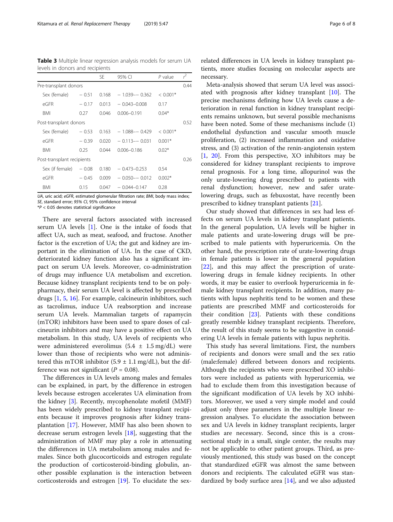<span id="page-5-0"></span>Table 3 Multiple linear regression analysis models for serum UA levels in donors and recipients

|                            |         | <b>SE</b> | 95% CI            | $P$ value  | $r^2$ |
|----------------------------|---------|-----------|-------------------|------------|-------|
| Pre-transplant donors      |         |           |                   |            | 0.44  |
| Sex (female)               | $-0.51$ | 0.168     | $-1.039 - 0.362$  | $< 0.001*$ |       |
| $\overline{P}$ GFR         | $-0.17$ | 0.013     | $-0.043 - 0.008$  | 0.17       |       |
| BMI                        | 0.27    | 0.046     | $0.006 - 0.191$   | $0.04*$    |       |
| Post-transplant donors     |         |           |                   |            | 0.52  |
| Sex (female)               | $-0.53$ | 0.163     | $-1.088 - -0.429$ | $< 0.001*$ |       |
| $\overline{P}$ GFR         | $-0.39$ | 0.020     | $-0.113 - -0.031$ | $0.001*$   |       |
| <b>BMI</b>                 | 0.25    | 0.044     | $0.006 - 0.186$   | $0.02*$    |       |
| Post-transplant recipients |         |           |                   |            | 0.26  |
| Sex (if female)            | $-0.08$ | 0.180     | $-0.473 - 0.253$  | 0.54       |       |
| $\overline{P}$ GFR         | $-0.45$ | 0.009     | $-0.050 - 0.012$  | $0.002*$   |       |
| BMI                        | 0.15    | 0.047     | $-0.044 - 0.147$  | 0.28       |       |

UA, uric acid; eGFR, estimated glomerular filtration rate; BMI, body mass index; SE, standard error; 95% CI, 95% confidence interval

 $*P < 0.05$  denotes statistical significance

There are several factors associated with increased serum UA levels [[1\]](#page-6-0). One is the intake of foods that affect UA, such as meat, seafood, and fructose. Another factor is the excretion of UA; the gut and kidney are important in the elimination of UA. In the case of CKD, deteriorated kidney function also has a significant impact on serum UA levels. Moreover, co-administration of drugs may influence UA metabolism and excretion. Because kidney transplant recipients tend to be on polypharmacy, their serum UA level is affected by prescribed drugs [\[1](#page-6-0), [5](#page-6-0), [16](#page-6-0)]. For example, calcineurin inhibitors, such as tacrolimus, induce UA reabsorption and increase serum UA levels. Mammalian targets of rapamycin (mTOR) inhibitors have been used to spare doses of calcineurin inhibitors and may have a positive effect on UA metabolism. In this study, UA levels of recipients who were administered everolimus  $(5.4 \pm 1.5 \text{ mg/dL})$  were lower than those of recipients who were not administered this mTOR inhibitor  $(5.9 \pm 1.1 \text{ mg/dL})$ , but the difference was not significant ( $P = 0.08$ ).

The differences in UA levels among males and females can be explained, in part, by the difference in estrogen levels because estrogen accelerates UA elimination from the kidney [\[3](#page-6-0)]. Recently, mycophenolate mofetil (MMF) has been widely prescribed to kidney transplant recipients because it improves prognosis after kidney transplantation [[17\]](#page-6-0). However, MMF has also been shown to decrease serum estrogen levels [\[18](#page-6-0)], suggesting that the administration of MMF may play a role in attenuating the differences in UA metabolism among males and females. Since both glucocorticoids and estrogen regulate the production of corticosteroid-binding globulin, another possible explanation is the interaction between corticosteroids and estrogen [[19\]](#page-6-0). To elucidate the sex-

related differences in UA levels in kidney transplant patients, more studies focusing on molecular aspects are necessary.

Meta-analysis showed that serum UA level was associated with prognosis after kidney transplant [[10\]](#page-6-0). The precise mechanisms defining how UA levels cause a deterioration in renal function in kidney transplant recipients remains unknown, but several possible mechanisms have been noted. Some of these mechanisms include (1) endothelial dysfunction and vascular smooth muscle proliferation, (2) increased inflammation and oxidative stress, and (3) activation of the renin-angiotensin system [[1,](#page-6-0) [20](#page-7-0)]. From this perspective, XO inhibitors may be considered for kidney transplant recipients to improve renal prognosis. For a long time, allopurinol was the only urate-lowering drug prescribed to patients with renal dysfunction; however, new and safer uratelowering drugs, such as febuxostat, have recently been prescribed to kidney transplant patients [[21](#page-7-0)].

Our study showed that differences in sex had less effects on serum UA levels in kidney transplant patients. In the general population, UA levels will be higher in male patients and urate-lowering drugs will be prescribed to male patients with hyperuricemia. On the other hand, the prescription rate of urate-lowering drugs in female patients is lower in the general population [[22\]](#page-7-0), and this may affect the prescription of uratelowering drugs in female kidney recipients. In other words, it may be easier to overlook hyperuricemia in female kidney transplant recipients. In addition, many patients with lupus nephritis tend to be women and these patients are prescribed MMF and corticosteroids for their condition [\[23](#page-7-0)]. Patients with these conditions greatly resemble kidney transplant recipients. Therefore, the result of this study seems to be suggestive in considering UA levels in female patients with lupus nephritis.

This study has several limitations. First, the numbers of recipients and donors were small and the sex ratio (male:female) differed between donors and recipients. Although the recipients who were prescribed XO inhibitors were included as patients with hyperuricemia, we had to exclude them from this investigation because of the significant modification of UA levels by XO inhibitors. Moreover, we used a very simple model and could adjust only three parameters in the multiple linear regression analyses. To elucidate the association between sex and UA levels in kidney transplant recipients, larger studies are necessary. Second, since this is a crosssectional study in a small, single center, the results may not be applicable to other patient groups. Third, as previously mentioned, this study was based on the concept that standardized eGFR was almost the same between donors and recipients. The calculated eGFR was standardized by body surface area [\[14](#page-6-0)], and we also adjusted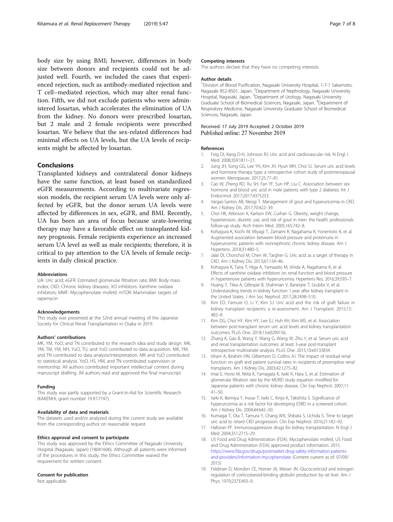<span id="page-6-0"></span>body size by using BMI; however, differences in body size between donors and recipients could not be adjusted well. Fourth, we included the cases that experienced rejection, such as antibody-mediated rejection and T cell–mediated rejection, which may alter renal function. Fifth, we did not exclude patients who were administered losartan, which accelerates the elimination of UA from the kidney. No donors were prescribed losartan, but 2 male and 2 female recipients were prescribed losartan. We believe that the sex-related differences had minimal effects on UA levels, but the UA levels of recipients might be affected by losartan.

#### Conclusions

Transplanted kidneys and contralateral donor kidneys have the same function, at least based on standardized eGFR measurements. According to multivariate regression models, the recipient serum UA levels were only affected by eGFR, but the donor serum UA levels were affected by differences in sex, eGFR, and BMI. Recently, UA has been an area of focus because urate-lowering therapy may have a favorable effect on transplanted kidney prognosis. Female recipients experience an increased serum UA level as well as male recipients; therefore, it is critical to pay attention to the UA levels of female recipients in daily clinical practice.

#### Abbreviations

UA: Uric acid; eGFR: Estimated glomerular filtration rate; BMI: Body mass index; CKD: Chronic kidney diseases; XO inhibitors: Xanthine oxidase inhibitors; MMF: Mycophenolate mofetil; mTOR: Mammalian targets of rapamycin

#### Acknowledgements

This study was presented at the 52nd annual meeting of the Japanese Society for Clinical Renal Transplantation in Osaka in 2019.

#### Authors' contributions

MK, YM, YoO, and TN contributed to the research idea and study design. MK, YM, TM, YM, NH, YuO, TU, and YoO contributed to data acquisition. MK, YM, and TN contributed to data analysis/interpretation. MK and YuO contributed to statistical analysis. YoO, HS, HM, and TN contributed supervision or mentorship. All authors contributed important intellectual content during manuscript drafting. All authors read and approved the final manuscript.

#### Funding

This study was partly supported by a Grant-in-Aid for Scientific Research (KAKENHI; grant number 19 K17747).

#### Availability of data and materials

The datasets used and/or analyzed during the current study are available from the corresponding author on reasonable request.

#### Ethics approval and consent to participate

This study was approved by the Ethics Committee of Nagasaki University Hospital (Nagasaki, Japan) (18041606). Although all patients were informed of the procedures in this study, the Ethics Committee waived the requirement for written consent.

#### Consent for publication

Not applicable.

#### Competing interests

The authors declare that they have no competing interests.

#### Author details

<sup>1</sup> Division of Blood Purification, Nagasaki University Hospital, 1-7-1 Sakamoto, Nagasaki 852-8501, Japan. <sup>2</sup>Department of Nephrology, Nagasaki University Hospital, Nagasaki, Japan. <sup>3</sup>Department of Urology, Nagasaki University Graduate School of Biomedical Sciences, Nagasaki, Japan. <sup>4</sup> Department of Respiratory Medicine, Nagasaki University Graduate School of Biomedical Sciences, Nagasaki, Japan.

## Received: 17 July 2019 Accepted: 2 October 2019

#### References

- 1. Feig DI, Kang D-H, Johnson RJ. Uric acid and cardiovascular risk. N Engl J Med. 2008;359:1811–21.
- 2. Jung JH, Song GG, Lee YH, Kim JH, Hyun MH, Choi SJ. Serum uric acid levels and hormone therapy type: a retrospective cohort study of postmenopausal women. Menopause. 2017;25:77–81.
- 3. Cao W, Zheng RD, Xu SH, Fan YF, Sun HP, Liu C. Association between sex hormone and blood uric acid in male patients with type 2 diabetes. Int J Endocrinol. 2017;2017:4375253.
- 4. Vargas-Santos AB, Neogi T. Management of gout and hyperuricemia in CKD. Am J Kidney Dis. 2017;70:422–39.
- 5. Choi HK, Atkinson K, Karlson EW, Curhan G. Obesity, weight change, hypertension, diuretic use, and risk of gout in men: the health professionals follow-up study. Arch Intern Med. 2005;165:742–8.
- 6. Kohagura K, Kochi M, Miyagi T, Zamami R, Nagahama K, Yonemoto K, et al. Augmented association between blood pressure and proteinuria in hyperuricemic patients with nonnephrotic chronic kidney disease. Am J Hypertens. 2018;31:480–5.
- 7. Jalal DI, Chonchol M, Chen W, Targher G. Uric acid as a target of therapy in CKD. Am J Kidney Dis. 2013;61:134–46.
- 8. Kohagura K, Tana T, Higa A, Yamazato M, Ishida A, Nagahama K, et al. Effects of xanthine oxidase inhibitors on renal function and blood pressure in hypertensive patients with hyperuricemia. Hypertens Res. 2016;39:593–7.
- 9. Huang Y, Tilea A, Gillespie B, Shahinian V, Banerjee T, Grubbs V, et al. Understanding trends in kidney function 1 year after kidney transplant in the United States. J Am Soc Nephrol. 2017;28:2498–510.
- 10. Kim ED, Famure O, Li Y, Kim SJ. Uric acid and the risk of graft failure in kidney transplant recipients: a re-assessment. Am J Transplant. 2015;15: 482–8.
- 11. Kim DG, Choi HY, Kim HY, Lee EJ, Huh KH, Kim MS, et al. Association between post-transplant serum uric acid levels and kidney transplantation outcomes. PLoS One. 2018;13:e0209156.
- 12. Zhang K, Gao B, Wang Y, Wang G, Wang W, Zhu Y, et al. Serum uric acid and renal transplantation outcomes: at least 3-year post-transplant retrospective multivariate analysis. PLoS One. 2015;10:e0133834.
- 13. Ishani A, Ibrahim HN, Gilbertson D, Collins AJ. The impact of residual renal function on graft and patient survival rates in recipients of preemptive renal transplants. Am J Kidney Dis. 2003;42:1275–82.
- 14. Imai E, Horio M, Nitta K, Yamagata K, Iseki K, Hara S, et al. Estimation of glomerular filtration rate by the MDRD study equation modified for Japanese patients with chronic kidney disease. Clin Exp Nephrol. 2007;11:  $41 - 50.$
- 15. Iseki K, Ikemiya Y, Inoue T, Iseki C, Kinjo K, Takishita S. Significance of hyperuricemia as a risk factor for developing ESRD in a screened cohort. Am J Kidney Dis. 2004;44:642–50.
- 16. Kumagai T, Ota T, Tamura Y, Chang WX, Shibata S, Uchida S. Time to target uric acid to retard CKD progression. Clin Exp Nephrol. 2016;21:182–92.
- 17. Halloran PF. Immunosuppressive drugs for kidney transplantation. N Engl J Med. 2004;351:2715–29.
- 18. US Food and Drug Administration (FDA). Mycophenolate mofetil, US Food and Drug Administration (FDA) approved product information. 2015. [https://www.fda.gov/drugs/postmarket-drug-safety-information-patients](https://www.fda.gov/drugs/postmarket-drug-safety-information-patients-and-providers/information-mycophenolate)[and-providers/information-mycophenolate](https://www.fda.gov/drugs/postmarket-drug-safety-information-patients-and-providers/information-mycophenolate) (Content current as of: 07/09/ 2015)
- 19. Feldman D, Mondon CE, Horner JA, Weiser JN. Glucocorticoid and estrogen regulation of corticosteroid-binding globulin production by rat liver. Am J Phys. 1979;237:E493–9.